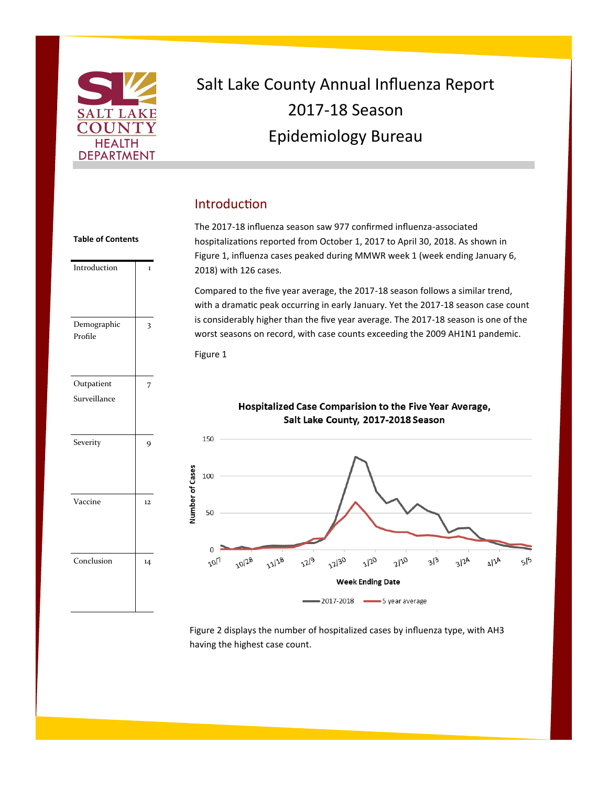

# Salt Lake County Annual Influenza Report 2017-18 Season Epidemiology Bureau

## Introduction

The 2017-18 influenza season saw 977 confirmed influenza-associated hospitalizations reported from October 1, 2017 to April 30, 2018. As shown in Figure 1, influenza cases peaked during MMWR week 1 (week ending January 6, 2018) with 126 cases.

Compared to the five year average, the 2017-18 season follows a similar trend, with a dramatic peak occurring in early January. Yet the 2017-18 season case count is considerably higher than the five year average. The 2017-18 season is one of the worst seasons on record, with case counts exceeding the 2009 AH1N1 pandemic.





Hospitalized Case Comparision to the Five Year Average, Salt Lake County, 2017-2018 Season



Figure 2 displays the number of hospitalized cases by influenza type, with AH3 having the highest case count.

#### **Table of Contents**

Introduction 1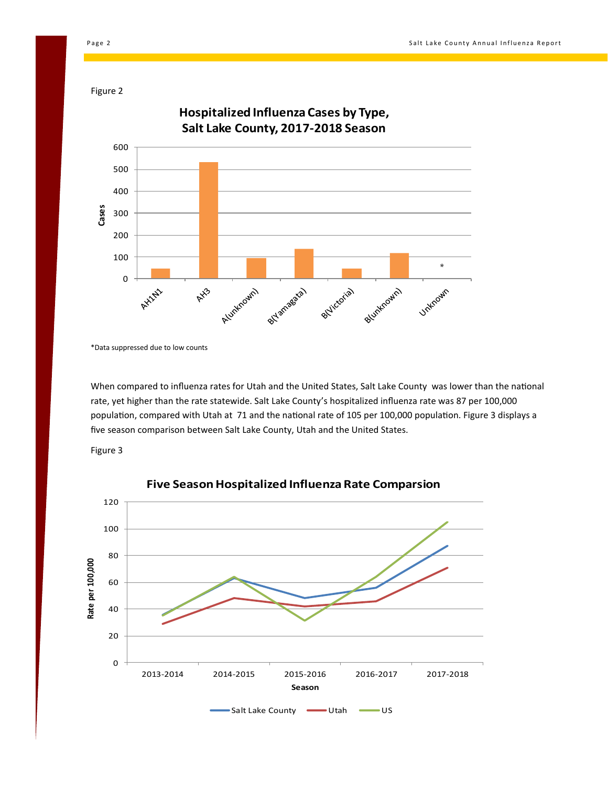Figure 2



\*Data suppressed due to low counts

When compared to influenza rates for Utah and the United States, Salt Lake County was lower than the national rate, yet higher than the rate statewide. Salt Lake County's hospitalized influenza rate was 87 per 100,000 population, compared with Utah at 71 and the national rate of 105 per 100,000 population. Figure 3 displays a five season comparison between Salt Lake County, Utah and the United States.





### **Five Season Hospitalized Influenza Rate Comparsion**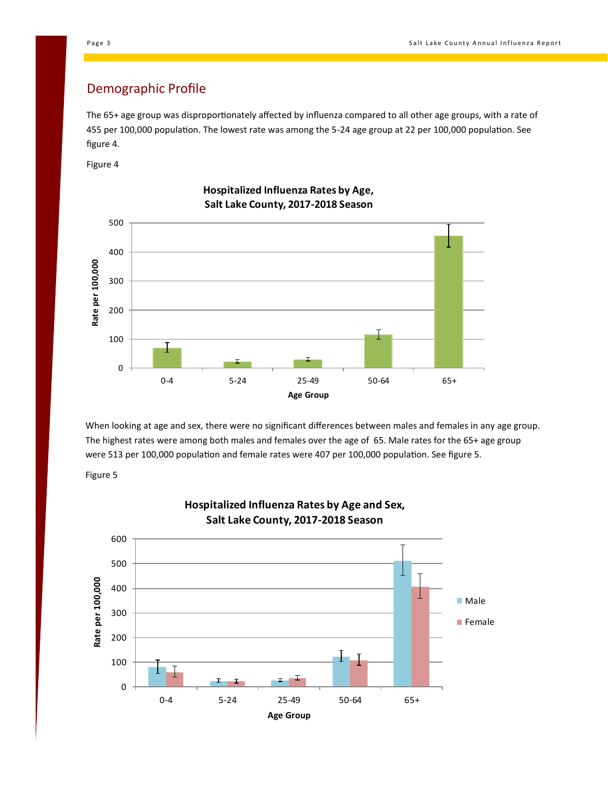### Demographic Profile

The 65+ age group was disproportionately affected by influenza compared to all other age groups, with a rate of 455 per 100,000 population. The lowest rate was among the 5-24 age group at 22 per 100,000 population. See figure 4.

Figure 4



### **Hospitalized Influenza Rates by Age, Salt Lake County, 2017-2018 Season**

When looking at age and sex, there were no significant differences between males and females in any age group. The highest rates were among both males and females over the age of 65. Male rates for the 65+ age group were 513 per 100,000 population and female rates were 407 per 100,000 population. See figure 5.

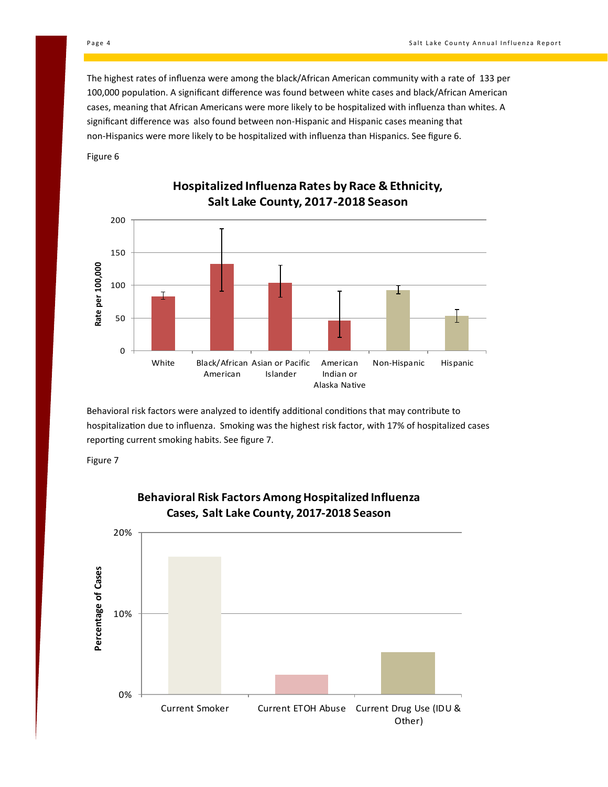The highest rates of influenza were among the black/African American community with a rate of 133 per 100,000 population. A significant difference was found between white cases and black/African American cases, meaning that African Americans were more likely to be hospitalized with influenza than whites. A significant difference was also found between non-Hispanic and Hispanic cases meaning that non-Hispanics were more likely to be hospitalized with influenza than Hispanics. See figure 6.

Figure 6



### **Hospitalized Influenza Rates by Race & Ethnicity, Salt Lake County, 2017-2018 Season**

Behavioral risk factors were analyzed to identify additional conditions that may contribute to hospitalization due to influenza. Smoking was the highest risk factor, with 17% of hospitalized cases reporting current smoking habits. See figure 7.





### **Behavioral Risk Factors Among Hospitalized Influenza Cases, Salt Lake County, 2017-2018 Season**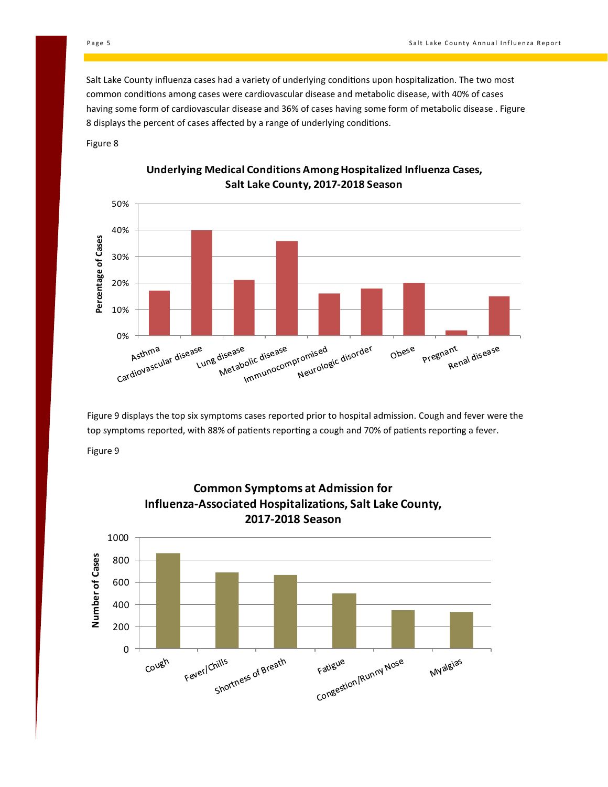Salt Lake County influenza cases had a variety of underlying conditions upon hospitalization. The two most common conditions among cases were cardiovascular disease and metabolic disease, with 40% of cases having some form of cardiovascular disease and 36% of cases having some form of metabolic disease . Figure 8 displays the percent of cases affected by a range of underlying conditions.

Figure 8



### **Underlying Medical Conditions Among Hospitalized Influenza Cases, Salt Lake County, 2017-2018 Season**

Figure 9 displays the top six symptoms cases reported prior to hospital admission. Cough and fever were the top symptoms reported, with 88% of patients reporting a cough and 70% of patients reporting a fever.

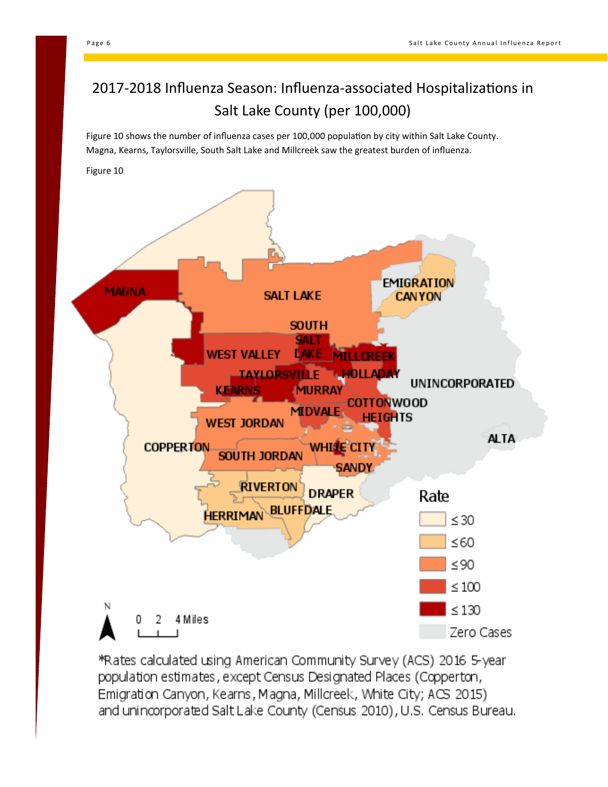## 2017-2018 Influenza Season: Influenza-associated Hospitalizations in Salt Lake County (per 100,000)

Figure 10 shows the number of influenza cases per 100,000 population by city within Salt Lake County. Magna, Kearns, Taylorsville, South Salt Lake and Millcreek saw the greatest burden of influenza.

Figure 10



\*Rates calculated using American Community Survey (ACS) 2016 5-year population estimates, except Census Designated Places (Copperton, Emigration Canyon, Kearns, Magna, Millcreek, White City; ACS 2015) and unincorporated Salt Lake County (Census 2010), U.S. Census Bureau.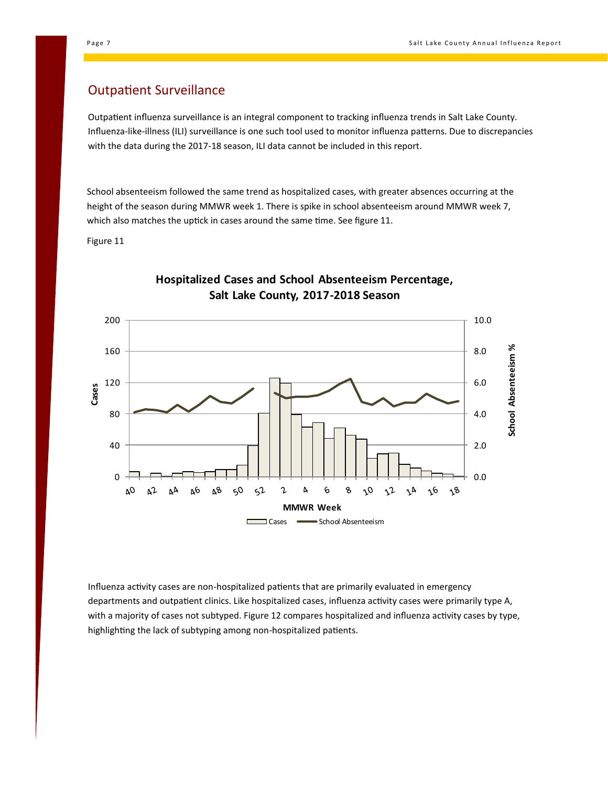### Outpatient Surveillance

Outpatient influenza surveillance is an integral component to tracking influenza trends in Salt Lake County. Influenza-like-illness (ILI) surveillance is one such tool used to monitor influenza patterns. Due to discrepancies with the data during the 2017-18 season, ILI data cannot be included in this report.

School absenteeism followed the same trend as hospitalized cases, with greater absences occurring at the height of the season during MMWR week 1. There is spike in school absenteeism around MMWR week 7, which also matches the uptick in cases around the same time. See figure 11.

Figure 11



### **Hospitalized Cases and School Absenteeism Percentage, Salt Lake County, 2017-2018 Season**

Influenza activity cases are non-hospitalized patients that are primarily evaluated in emergency departments and outpatient clinics. Like hospitalized cases, influenza activity cases were primarily type A, with a majority of cases not subtyped. Figure 12 compares hospitalized and influenza activity cases by type, highlighting the lack of subtyping among non-hospitalized patients.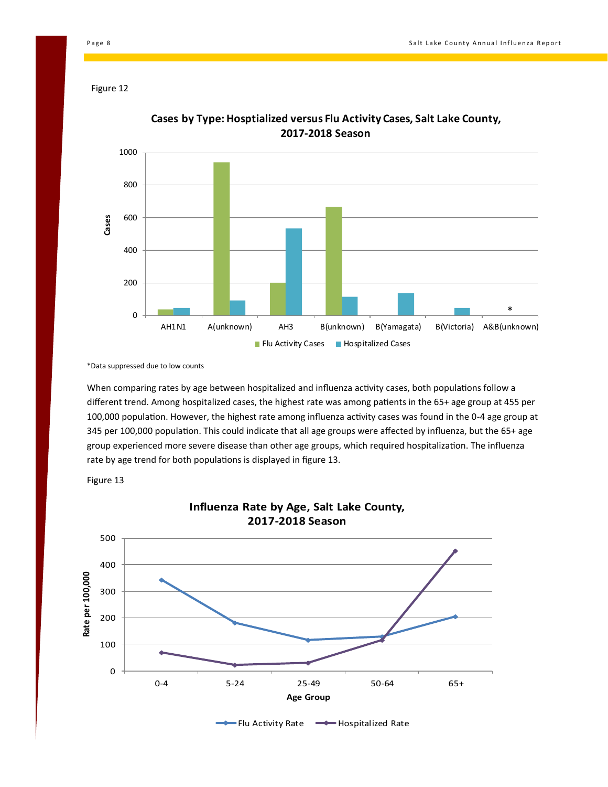Figure 12



**Cases by Type: Hosptialized versus Flu Activity Cases, Salt Lake County, 2017-2018 Season**

\*Data suppressed due to low counts

When comparing rates by age between hospitalized and influenza activity cases, both populations follow a different trend. Among hospitalized cases, the highest rate was among patients in the 65+ age group at 455 per 100,000 population. However, the highest rate among influenza activity cases was found in the 0-4 age group at 345 per 100,000 population. This could indicate that all age groups were affected by influenza, but the 65+ age group experienced more severe disease than other age groups, which required hospitalization. The influenza rate by age trend for both populations is displayed in figure 13.



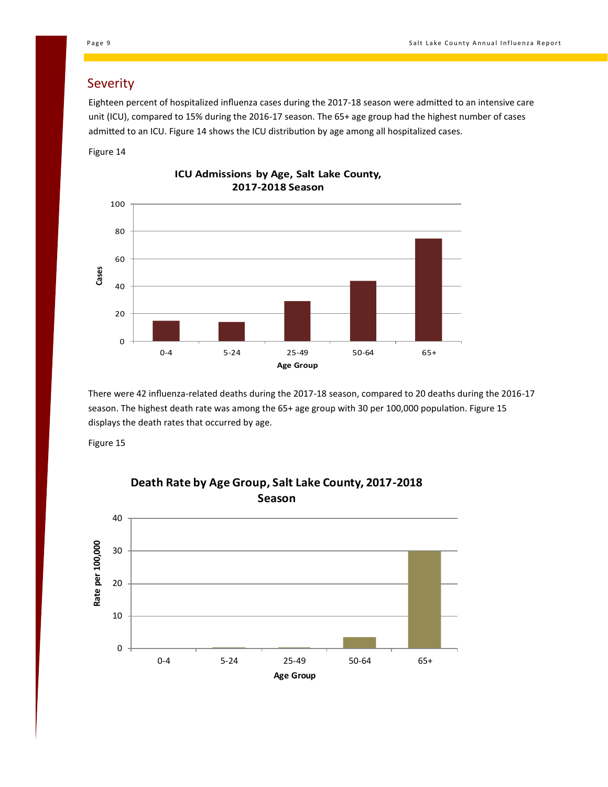### Severity

Eighteen percent of hospitalized influenza cases during the 2017-18 season were admitted to an intensive care unit (ICU), compared to 15% during the 2016-17 season. The 65+ age group had the highest number of cases admitted to an ICU. Figure 14 shows the ICU distribution by age among all hospitalized cases.

Figure 14

![](_page_8_Figure_5.jpeg)

![](_page_8_Figure_6.jpeg)

There were 42 influenza-related deaths during the 2017-18 season, compared to 20 deaths during the 2016-17 season. The highest death rate was among the 65+ age group with 30 per 100,000 population. Figure 15 displays the death rates that occurred by age.

![](_page_8_Figure_9.jpeg)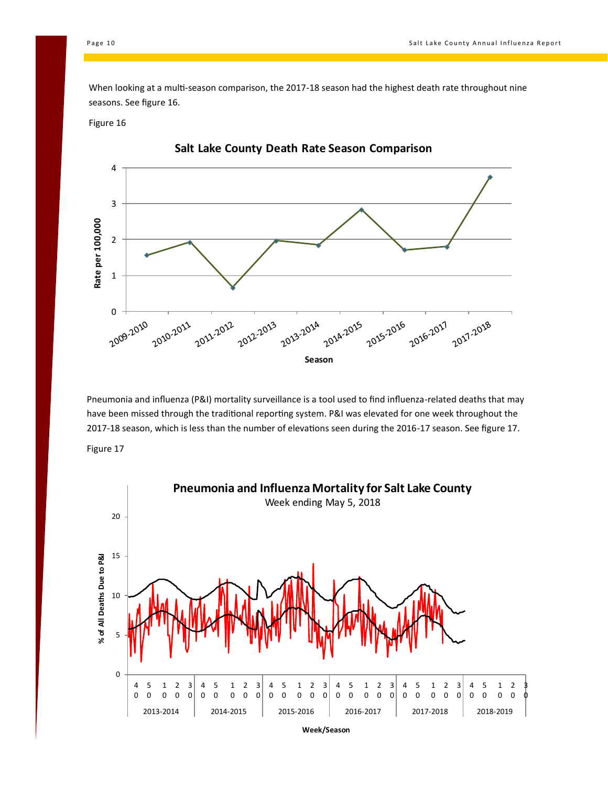When looking at a multi-season comparison, the 2017-18 season had the highest death rate throughout nine seasons. See figure 16.

### Figure 16

![](_page_9_Figure_4.jpeg)

**Salt Lake County Death Rate Season Comparison**

Pneumonia and influenza (P&I) mortality surveillance is a tool used to find influenza-related deaths that may have been missed through the traditional reporting system. P&I was elevated for one week throughout the -18 season, which is less than the number of elevations seen during the 2016-17 season. See figure 17.

![](_page_9_Figure_7.jpeg)

![](_page_9_Figure_8.jpeg)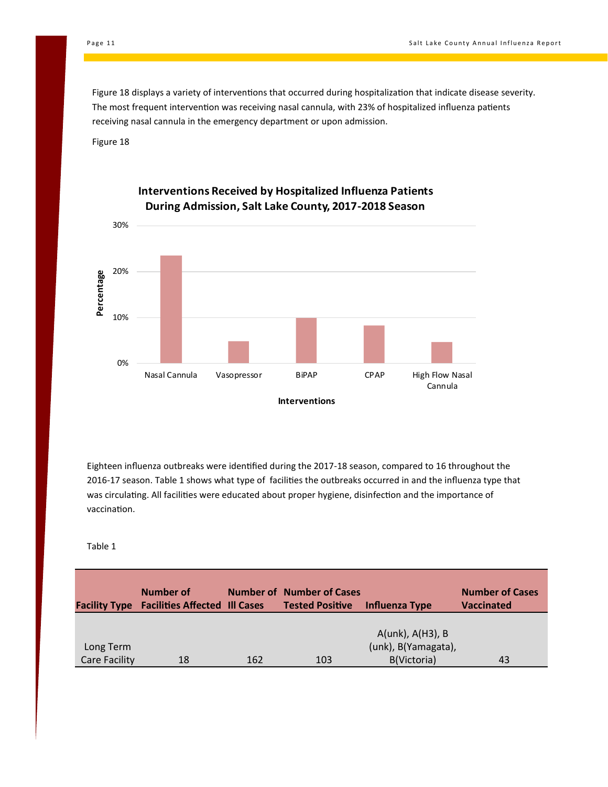Figure 18 displays a variety of interventions that occurred during hospitalization that indicate disease severity. The most frequent intervention was receiving nasal cannula, with 23% of hospitalized influenza patients receiving nasal cannula in the emergency department or upon admission.

Figure 18

![](_page_10_Figure_4.jpeg)

### **Interventions Received by Hospitalized Influenza Patients During Admission, Salt Lake County, 2017-2018 Season**

Eighteen influenza outbreaks were identified during the 2017-18 season, compared to 16 throughout the 2016-17 season. Table 1 shows what type of facilities the outbreaks occurred in and the influenza type that was circulating. All facilities were educated about proper hygiene, disinfection and the importance of vaccination.

Table 1

|                                   | Number of<br><b>Facility Type Facilities Affected III Cases</b> |     | <b>Number of Number of Cases</b><br><b>Tested Positive</b> | Influenza Type                     | <b>Number of Cases</b><br><b>Vaccinated</b> |
|-----------------------------------|-----------------------------------------------------------------|-----|------------------------------------------------------------|------------------------------------|---------------------------------------------|
|                                   |                                                                 |     |                                                            | A(unk), A(H3), B                   |                                             |
| Long Term<br><b>Care Facility</b> | 18                                                              | 162 | 103                                                        | (unk), B(Yamagata),<br>B(Victoria) | 43                                          |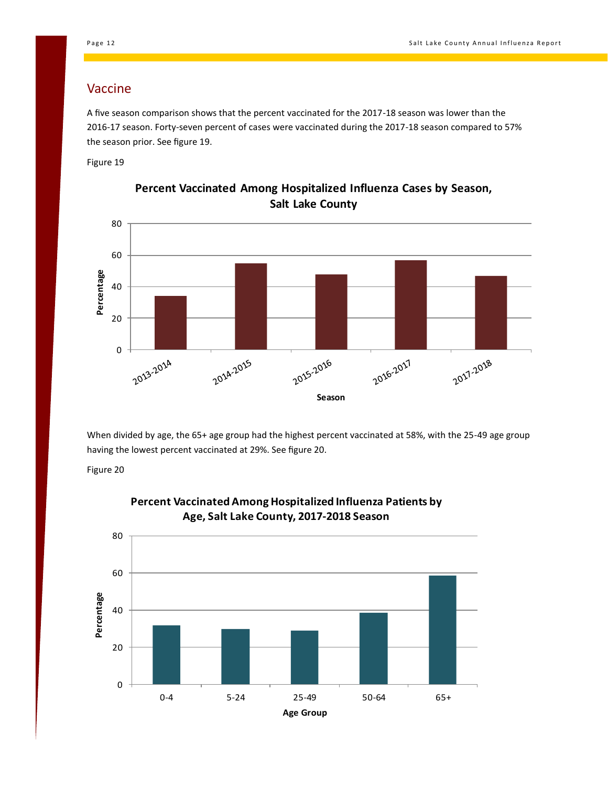### Vaccine

A five season comparison shows that the percent vaccinated for the 2017-18 season was lower than the 2016-17 season. Forty-seven percent of cases were vaccinated during the 2017-18 season compared to 57% the season prior. See figure 19.

Figure 19

![](_page_11_Figure_5.jpeg)

**Percent Vaccinated Among Hospitalized Influenza Cases by Season, Salt Lake County**

When divided by age, the 65+ age group had the highest percent vaccinated at 58%, with the 25-49 age group having the lowest percent vaccinated at 29%. See figure 20.

Figure 20

![](_page_11_Figure_9.jpeg)

### **Percent Vaccinated Among Hospitalized Influenza Patients by Age, Salt Lake County, 2017-2018 Season**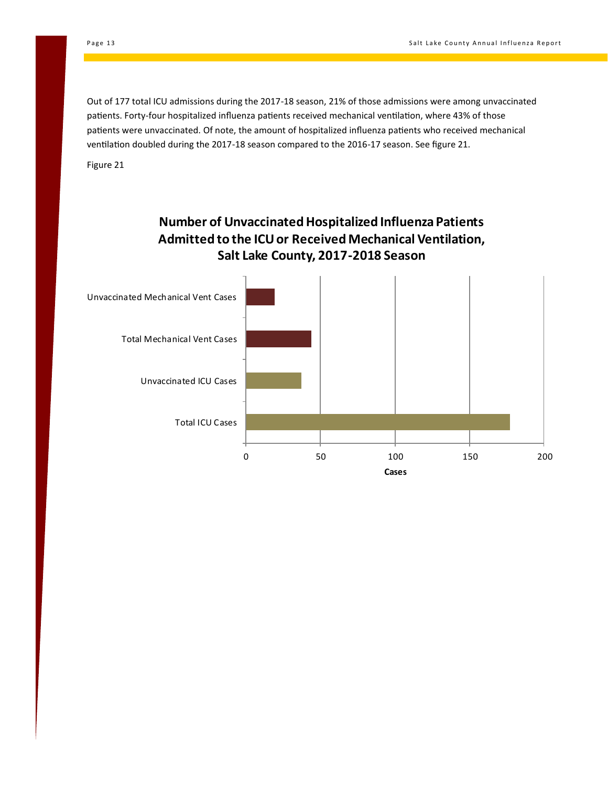Out of 177 total ICU admissions during the 2017-18 season, 21% of those admissions were among unvaccinated patients. Forty-four hospitalized influenza patients received mechanical ventilation, where 43% of those patients were unvaccinated. Of note, the amount of hospitalized influenza patients who received mechanical ventilation doubled during the 2017-18 season compared to the 2016-17 season. See figure 21.

![](_page_12_Figure_4.jpeg)